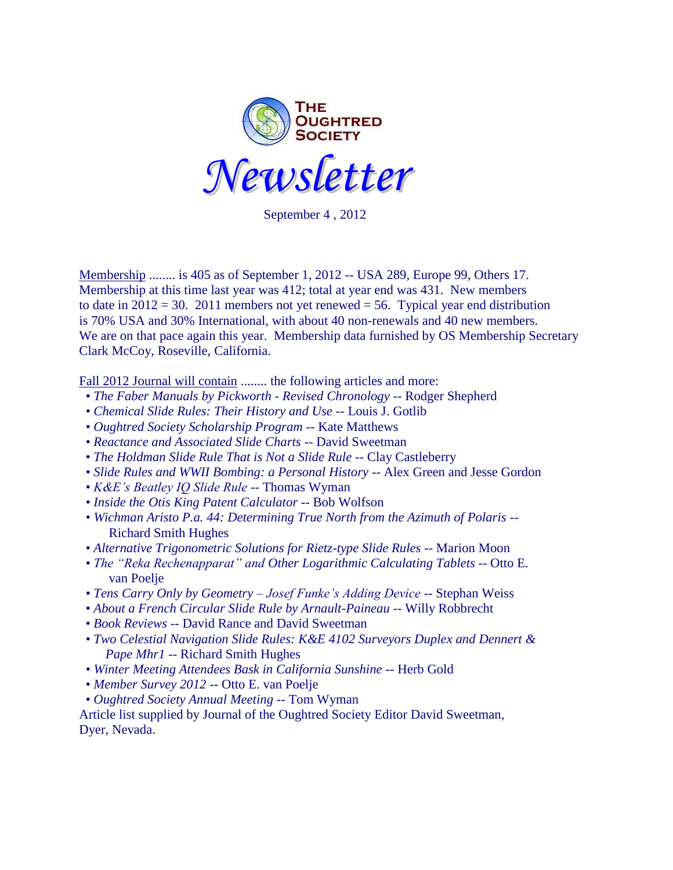

September 4 , 2012 

Membership ........ is 405 as of September 1, 2012 -- USA 289, Europe 99, Others 17. Membership at this time last year was 412; total at year end was 431. New members to date in  $2012 = 30$ . 2011 members not yet renewed = 56. Typical year end distribution is 70% USA and 30% International, with about 40 non-renewals and 40 new members. We are on that pace again this year. Membership data furnished by OS Membership Secretary Clark McCoy, Roseville, California.

Fall 2012 Journal will contain ........ the following articles and more:

- *The Faber Manuals by Pickworth - Revised Chronology* -- Rodger Shepherd
- *Chemical Slide Rules: Their History and Use* -- Louis J. Gotlib
- *Oughtred Society Scholarship Program* -- Kate Matthews
- *Reactance and Associated Slide Charts* -- David Sweetman
- The Holdman Slide Rule That is Not a Slide Rule -- Clay Castleberry
- *Slide Rules and WWII Bombing: a Personal History* -- Alex Green and Jesse Gordon
- *K&E's Beatley IQ Slide Rule* -- Thomas Wyman
- *Inside the Otis King Patent Calculator* -- Bob Wolfson
- *Wichman Aristo P.a. 44: Determining True North from the Azimuth of Polaris* -- Richard Smith Hughes
- *Alternative Trigonometric Solutions for Rietz-type Slide Rules* -- Marion Moon
- *The "Reka Rechenapparat" and Other Logarithmic Calculating Tablets* -- Otto E. van Poelje
- *Tens Carry Only by Geometry – Josef Funke's Adding Device* -- Stephan Weiss
- *About a French Circular Slide Rule by Arnault-Paineau* -- Willy Robbrecht
- *Book Reviews* -- David Rance and David Sweetman
- *Two Celestial Navigation Slide Rules: K&E 4102 Surveyors Duplex and Dennert & Pape Mhr1* -- Richard Smith Hughes
- *Winter Meeting Attendees Bask in California Sunshine* -- Herb Gold
- *Member Survey 2012* -- Otto E. van Poelje
- *Oughtred Society Annual Meeting* -- Tom Wyman

Article list supplied by Journal of the Oughtred Society Editor David Sweetman, Dyer, Nevada.